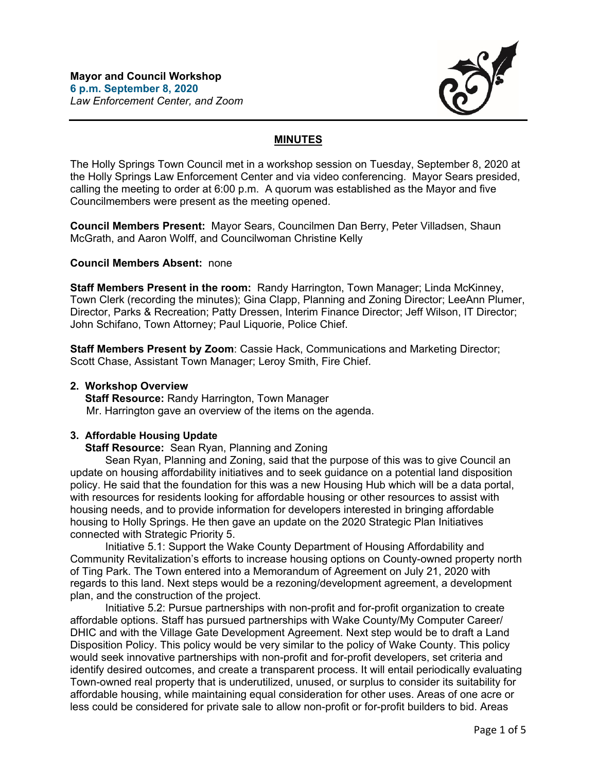

# **MINUTES**

The Holly Springs Town Council met in a workshop session on Tuesday, September 8, 2020 at the Holly Springs Law Enforcement Center and via video conferencing. Mayor Sears presided, calling the meeting to order at 6:00 p.m. A quorum was established as the Mayor and five Councilmembers were present as the meeting opened.

**Council Members Present:** Mayor Sears, Councilmen Dan Berry, Peter Villadsen, Shaun McGrath, and Aaron Wolff, and Councilwoman Christine Kelly

### **Council Members Absent:** none

**Staff Members Present in the room:** Randy Harrington, Town Manager; Linda McKinney, Town Clerk (recording the minutes); Gina Clapp, Planning and Zoning Director; LeeAnn Plumer, Director, Parks & Recreation; Patty Dressen, Interim Finance Director; Jeff Wilson, IT Director; John Schifano, Town Attorney; Paul Liquorie, Police Chief.

**Staff Members Present by Zoom**: Cassie Hack, Communications and Marketing Director; Scott Chase, Assistant Town Manager; Leroy Smith, Fire Chief.

### **2. Workshop Overview**

 **Staff Resource:** Randy Harrington, Town Manager Mr. Harrington gave an overview of the items on the agenda.

#### **3. Affordable Housing Update**

 **Staff Resource:** Sean Ryan, Planning and Zoning

Sean Ryan, Planning and Zoning, said that the purpose of this was to give Council an update on housing affordability initiatives and to seek guidance on a potential land disposition policy. He said that the foundation for this was a new Housing Hub which will be a data portal, with resources for residents looking for affordable housing or other resources to assist with housing needs, and to provide information for developers interested in bringing affordable housing to Holly Springs. He then gave an update on the 2020 Strategic Plan Initiatives connected with Strategic Priority 5.

Initiative 5.1: Support the Wake County Department of Housing Affordability and Community Revitalization's efforts to increase housing options on County-owned property north of Ting Park. The Town entered into a Memorandum of Agreement on July 21, 2020 with regards to this land. Next steps would be a rezoning/development agreement, a development plan, and the construction of the project.

Initiative 5.2: Pursue partnerships with non-profit and for-profit organization to create affordable options. Staff has pursued partnerships with Wake County/My Computer Career/ DHIC and with the Village Gate Development Agreement. Next step would be to draft a Land Disposition Policy. This policy would be very similar to the policy of Wake County. This policy would seek innovative partnerships with non-profit and for-profit developers, set criteria and identify desired outcomes, and create a transparent process. It will entail periodically evaluating Town-owned real property that is underutilized, unused, or surplus to consider its suitability for affordable housing, while maintaining equal consideration for other uses. Areas of one acre or less could be considered for private sale to allow non-profit or for-profit builders to bid. Areas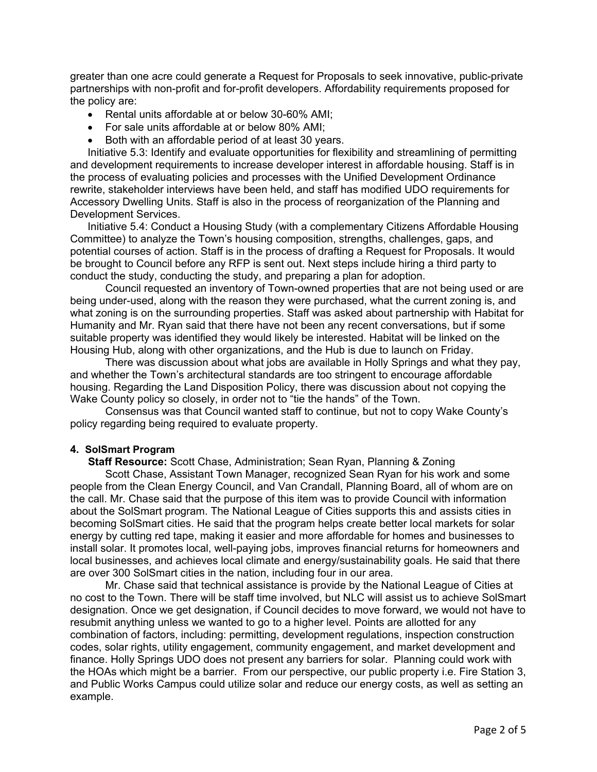greater than one acre could generate a Request for Proposals to seek innovative, public-private partnerships with non-profit and for-profit developers. Affordability requirements proposed for the policy are:

- Rental units affordable at or below 30-60% AMI;
- For sale units affordable at or below 80% AMI:
- Both with an affordable period of at least 30 years.

Initiative 5.3: Identify and evaluate opportunities for flexibility and streamlining of permitting and development requirements to increase developer interest in affordable housing. Staff is in the process of evaluating policies and processes with the Unified Development Ordinance rewrite, stakeholder interviews have been held, and staff has modified UDO requirements for Accessory Dwelling Units. Staff is also in the process of reorganization of the Planning and Development Services.

Initiative 5.4: Conduct a Housing Study (with a complementary Citizens Affordable Housing Committee) to analyze the Town's housing composition, strengths, challenges, gaps, and potential courses of action. Staff is in the process of drafting a Request for Proposals. It would be brought to Council before any RFP is sent out. Next steps include hiring a third party to conduct the study, conducting the study, and preparing a plan for adoption.

Council requested an inventory of Town-owned properties that are not being used or are being under-used, along with the reason they were purchased, what the current zoning is, and what zoning is on the surrounding properties. Staff was asked about partnership with Habitat for Humanity and Mr. Ryan said that there have not been any recent conversations, but if some suitable property was identified they would likely be interested. Habitat will be linked on the Housing Hub, along with other organizations, and the Hub is due to launch on Friday.

There was discussion about what jobs are available in Holly Springs and what they pay, and whether the Town's architectural standards are too stringent to encourage affordable housing. Regarding the Land Disposition Policy, there was discussion about not copying the Wake County policy so closely, in order not to "tie the hands" of the Town.

Consensus was that Council wanted staff to continue, but not to copy Wake County's policy regarding being required to evaluate property.

### **4. SolSmart Program**

 **Staff Resource:** Scott Chase, Administration; Sean Ryan, Planning & Zoning

 Scott Chase, Assistant Town Manager, recognized Sean Ryan for his work and some people from the Clean Energy Council, and Van Crandall, Planning Board, all of whom are on the call. Mr. Chase said that the purpose of this item was to provide Council with information about the SolSmart program. The National League of Cities supports this and assists cities in becoming SolSmart cities. He said that the program helps create better local markets for solar energy by cutting red tape, making it easier and more affordable for homes and businesses to install solar. It promotes local, well-paying jobs, improves financial returns for homeowners and local businesses, and achieves local climate and energy/sustainability goals. He said that there are over 300 SolSmart cities in the nation, including four in our area.

Mr. Chase said that technical assistance is provide by the National League of Cities at no cost to the Town. There will be staff time involved, but NLC will assist us to achieve SolSmart designation. Once we get designation, if Council decides to move forward, we would not have to resubmit anything unless we wanted to go to a higher level. Points are allotted for any combination of factors, including: permitting, development regulations, inspection construction codes, solar rights, utility engagement, community engagement, and market development and finance. Holly Springs UDO does not present any barriers for solar. Planning could work with the HOAs which might be a barrier. From our perspective, our public property i.e. Fire Station 3, and Public Works Campus could utilize solar and reduce our energy costs, as well as setting an example.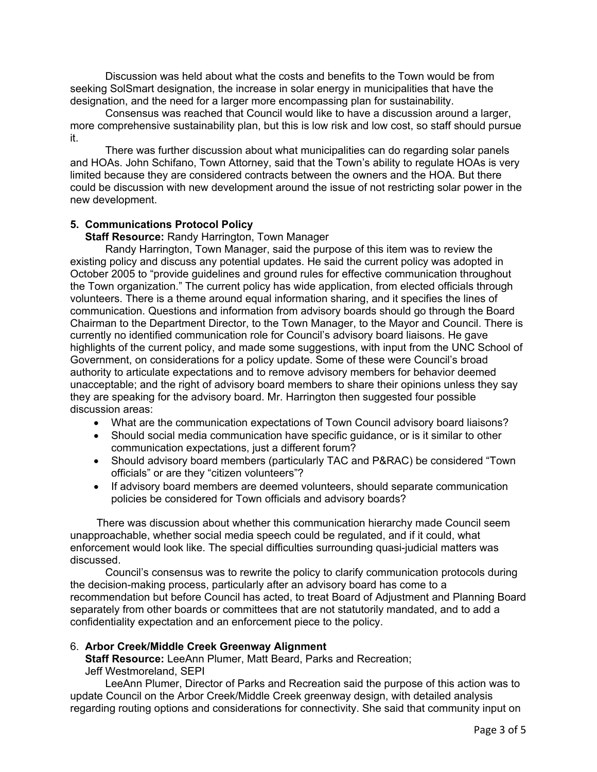Discussion was held about what the costs and benefits to the Town would be from seeking SolSmart designation, the increase in solar energy in municipalities that have the designation, and the need for a larger more encompassing plan for sustainability.

Consensus was reached that Council would like to have a discussion around a larger, more comprehensive sustainability plan, but this is low risk and low cost, so staff should pursue it.

There was further discussion about what municipalities can do regarding solar panels and HOAs. John Schifano, Town Attorney, said that the Town's ability to regulate HOAs is very limited because they are considered contracts between the owners and the HOA. But there could be discussion with new development around the issue of not restricting solar power in the new development.

# **5. Communications Protocol Policy**

## **Staff Resource:** Randy Harrington, Town Manager

Randy Harrington, Town Manager, said the purpose of this item was to review the existing policy and discuss any potential updates. He said the current policy was adopted in October 2005 to "provide guidelines and ground rules for effective communication throughout the Town organization." The current policy has wide application, from elected officials through volunteers. There is a theme around equal information sharing, and it specifies the lines of communication. Questions and information from advisory boards should go through the Board Chairman to the Department Director, to the Town Manager, to the Mayor and Council. There is currently no identified communication role for Council's advisory board liaisons. He gave highlights of the current policy, and made some suggestions, with input from the UNC School of Government, on considerations for a policy update. Some of these were Council's broad authority to articulate expectations and to remove advisory members for behavior deemed unacceptable; and the right of advisory board members to share their opinions unless they say they are speaking for the advisory board. Mr. Harrington then suggested four possible discussion areas:

- What are the communication expectations of Town Council advisory board liaisons?
- Should social media communication have specific guidance, or is it similar to other communication expectations, just a different forum?
- Should advisory board members (particularly TAC and P&RAC) be considered "Town officials" or are they "citizen volunteers"?
- If advisory board members are deemed volunteers, should separate communication policies be considered for Town officials and advisory boards?

There was discussion about whether this communication hierarchy made Council seem unapproachable, whether social media speech could be regulated, and if it could, what enforcement would look like. The special difficulties surrounding quasi-judicial matters was discussed.

Council's consensus was to rewrite the policy to clarify communication protocols during the decision-making process, particularly after an advisory board has come to a recommendation but before Council has acted, to treat Board of Adjustment and Planning Board separately from other boards or committees that are not statutorily mandated, and to add a confidentiality expectation and an enforcement piece to the policy.

## 6. **Arbor Creek/Middle Creek Greenway Alignment**

 **Staff Resource:** LeeAnn Plumer, Matt Beard, Parks and Recreation; Jeff Westmoreland, SEPI

LeeAnn Plumer, Director of Parks and Recreation said the purpose of this action was to update Council on the Arbor Creek/Middle Creek greenway design, with detailed analysis regarding routing options and considerations for connectivity. She said that community input on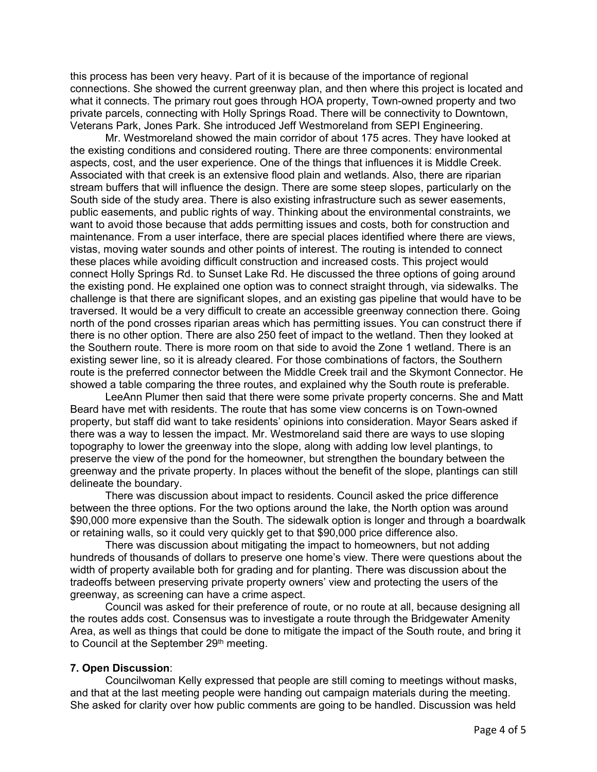this process has been very heavy. Part of it is because of the importance of regional connections. She showed the current greenway plan, and then where this project is located and what it connects. The primary rout goes through HOA property, Town-owned property and two private parcels, connecting with Holly Springs Road. There will be connectivity to Downtown, Veterans Park, Jones Park. She introduced Jeff Westmoreland from SEPI Engineering.

Mr. Westmoreland showed the main corridor of about 175 acres. They have looked at the existing conditions and considered routing. There are three components: environmental aspects, cost, and the user experience. One of the things that influences it is Middle Creek. Associated with that creek is an extensive flood plain and wetlands. Also, there are riparian stream buffers that will influence the design. There are some steep slopes, particularly on the South side of the study area. There is also existing infrastructure such as sewer easements, public easements, and public rights of way. Thinking about the environmental constraints, we want to avoid those because that adds permitting issues and costs, both for construction and maintenance. From a user interface, there are special places identified where there are views, vistas, moving water sounds and other points of interest. The routing is intended to connect these places while avoiding difficult construction and increased costs. This project would connect Holly Springs Rd. to Sunset Lake Rd. He discussed the three options of going around the existing pond. He explained one option was to connect straight through, via sidewalks. The challenge is that there are significant slopes, and an existing gas pipeline that would have to be traversed. It would be a very difficult to create an accessible greenway connection there. Going north of the pond crosses riparian areas which has permitting issues. You can construct there if there is no other option. There are also 250 feet of impact to the wetland. Then they looked at the Southern route. There is more room on that side to avoid the Zone 1 wetland. There is an existing sewer line, so it is already cleared. For those combinations of factors, the Southern route is the preferred connector between the Middle Creek trail and the Skymont Connector. He showed a table comparing the three routes, and explained why the South route is preferable.

LeeAnn Plumer then said that there were some private property concerns. She and Matt Beard have met with residents. The route that has some view concerns is on Town-owned property, but staff did want to take residents' opinions into consideration. Mayor Sears asked if there was a way to lessen the impact. Mr. Westmoreland said there are ways to use sloping topography to lower the greenway into the slope, along with adding low level plantings, to preserve the view of the pond for the homeowner, but strengthen the boundary between the greenway and the private property. In places without the benefit of the slope, plantings can still delineate the boundary.

There was discussion about impact to residents. Council asked the price difference between the three options. For the two options around the lake, the North option was around \$90,000 more expensive than the South. The sidewalk option is longer and through a boardwalk or retaining walls, so it could very quickly get to that \$90,000 price difference also.

There was discussion about mitigating the impact to homeowners, but not adding hundreds of thousands of dollars to preserve one home's view. There were questions about the width of property available both for grading and for planting. There was discussion about the tradeoffs between preserving private property owners' view and protecting the users of the greenway, as screening can have a crime aspect.

Council was asked for their preference of route, or no route at all, because designing all the routes adds cost. Consensus was to investigate a route through the Bridgewater Amenity Area, as well as things that could be done to mitigate the impact of the South route, and bring it to Council at the September 29<sup>th</sup> meeting.

#### **7. Open Discussion**:

Councilwoman Kelly expressed that people are still coming to meetings without masks, and that at the last meeting people were handing out campaign materials during the meeting. She asked for clarity over how public comments are going to be handled. Discussion was held